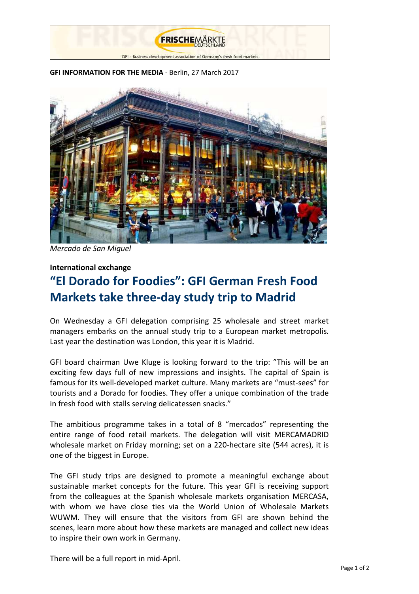

#### **GFI INFORMATION FOR THE MEDIA** - Berlin, 27 March 2017



*Mercado de San Miguel*

## **International exchange**

# **"El Dorado for Foodies": GFI German Fresh Food Markets take three-day study trip to Madrid**

On Wednesday a GFI delegation comprising 25 wholesale and street market managers embarks on the annual study trip to a European market metropolis. Last year the destination was London, this year it is Madrid.

GFI board chairman Uwe Kluge is looking forward to the trip: "This will be an exciting few days full of new impressions and insights. The capital of Spain is famous for its well-developed market culture. Many markets are "must-sees" for tourists and a Dorado for foodies. They offer a unique combination of the trade in fresh food with stalls serving delicatessen snacks."

The ambitious programme takes in a total of 8 "mercados" representing the entire range of food retail markets. The delegation will visit MERCAMADRID wholesale market on Friday morning; set on a 220-hectare site (544 acres), it is one of the biggest in Europe.

The GFI study trips are designed to promote a meaningful exchange about sustainable market concepts for the future. This year GFI is receiving support from the colleagues at the Spanish wholesale markets organisation MERCASA, with whom we have close ties via the World Union of Wholesale Markets WUWM. They will ensure that the visitors from GFI are shown behind the scenes, learn more about how these markets are managed and collect new ideas to inspire their own work in Germany.

There will be a full report in mid-April.